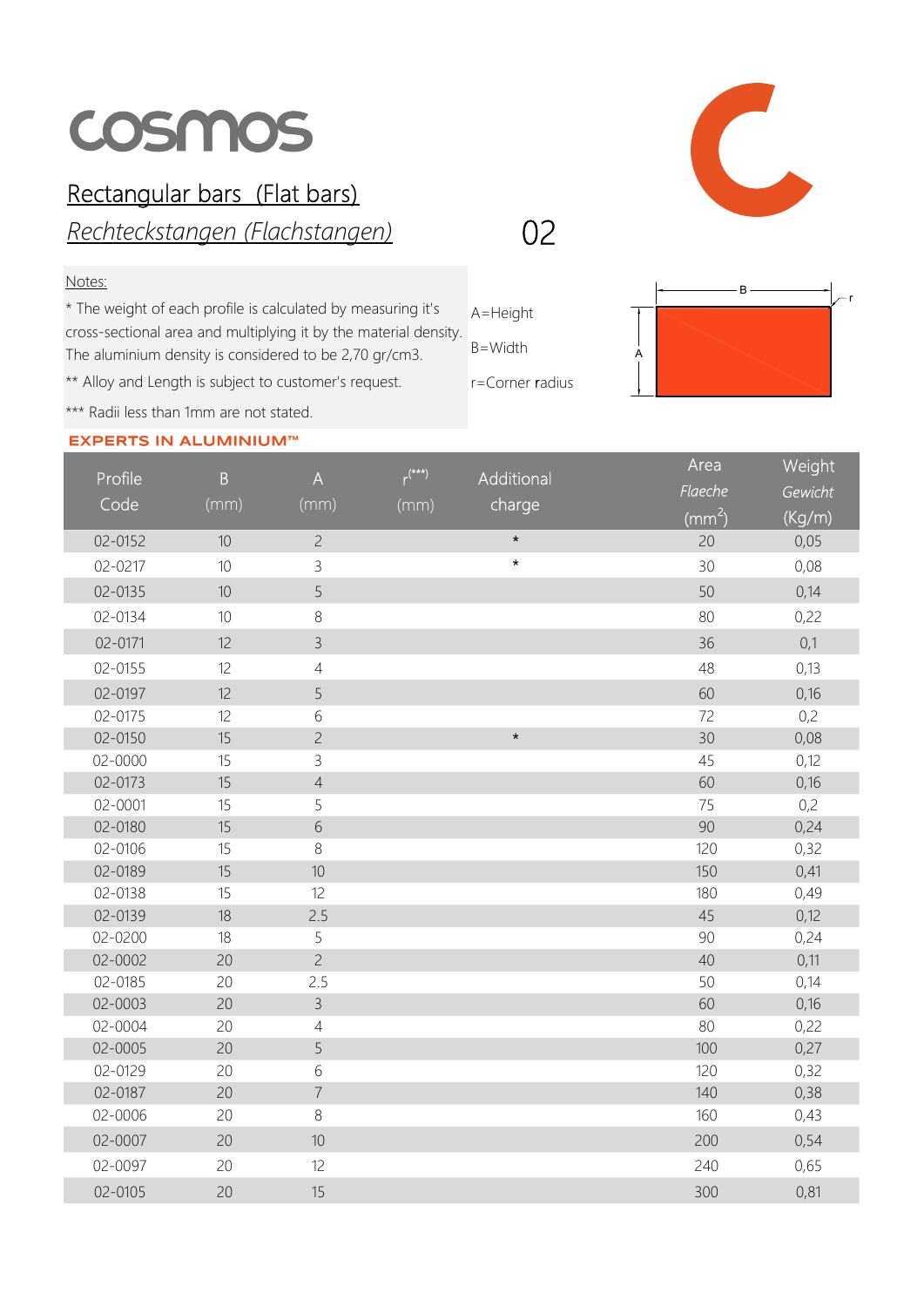## COSMOS

## Rectangular bars (Flat bars)

Rechteckstangen (Flachstangen)

## Notes:

\* The weight of each profile is calculated by measuring it's cross-sectional area and multiplying it by the material density. The aluminium density is considered to be 2,70 gr/cm3.

\*\* Alloy and Length is subject to customer's request.

\*\*\* Radii less than 1mm are not stated.

## **EXPERTS IN ALUMINIUM™**

 $\bigcap$ 

02

A=Height

B=Width

r=Corner radius



| Profile | $\, {\bf B}$ | $\boldsymbol{\mathsf{A}}$ | $r^{(***)}$ | Additional | Area            | Weight  |
|---------|--------------|---------------------------|-------------|------------|-----------------|---------|
| Code    |              |                           |             |            | Flaeche         | Gewicht |
|         | (mm)         | (mm)                      | (mm)        | charge     | $\text{mm}^2$ ) | (Kg/m)  |
| 02-0152 | 10           | $\overline{c}$            |             | $\star$    | 20              | 0,05    |
| 02-0217 | 10           | 3                         |             | $\star$    | 30              | 0,08    |
| 02-0135 | 10           | 5                         |             |            | 50              | 0,14    |
| 02-0134 | 10           | $\,8\,$                   |             |            | 80              | 0,22    |
| 02-0171 | 12           | $\overline{3}$            |             |            | 36              | 0,1     |
| 02-0155 | 12           | $\sqrt{4}$                |             |            | 48              | 0,13    |
| 02-0197 | 12           | 5                         |             |            | 60              | 0,16    |
| 02-0175 | 12           | $\,$ 6 $\,$               |             |            | 72              | 0,2     |
| 02-0150 | 15           | $\overline{c}$            |             | $\star$    | 30              | 0,08    |
| 02-0000 | 15           | 3                         |             |            | 45              | 0,12    |
| 02-0173 | 15           | $\sqrt{4}$                |             |            | 60              | 0,16    |
| 02-0001 | 15           | 5                         |             |            | 75              | 0,2     |
| 02-0180 | 15           | $\sqrt{6}$                |             |            | 90              | 0,24    |
| 02-0106 | 15           | $8\,$                     |             |            | 120             | 0,32    |
| 02-0189 | 15           | 10                        |             |            | 150             | 0,41    |
| 02-0138 | 15           | 12                        |             |            | 180             | 0,49    |
| 02-0139 | 18           | 2.5                       |             |            | 45              | 0,12    |
| 02-0200 | 18           | 5                         |             |            | 90              | 0,24    |
| 02-0002 | 20           | $\overline{c}$            |             |            | 40              | 0,11    |
| 02-0185 | 20           | 2.5                       |             |            | 50              | 0,14    |
| 02-0003 | 20           | $\overline{3}$            |             |            | 60              | 0,16    |
| 02-0004 | 20           | $\overline{4}$            |             |            | 80              | 0,22    |
| 02-0005 | 20           | 5                         |             |            | 100             | 0,27    |
| 02-0129 | 20           | 6                         |             |            | 120             | 0,32    |
| 02-0187 | 20           | $\overline{7}$            |             |            | 140             | 0,38    |
| 02-0006 | 20           | $\,8\,$                   |             |            | 160             | 0,43    |
| 02-0007 | 20           | $10\,$                    |             |            | 200             | 0,54    |
| 02-0097 | 20           | 12                        |             |            | 240             | 0,65    |
| 02-0105 | 20           | 15                        |             |            | 300             | 0,81    |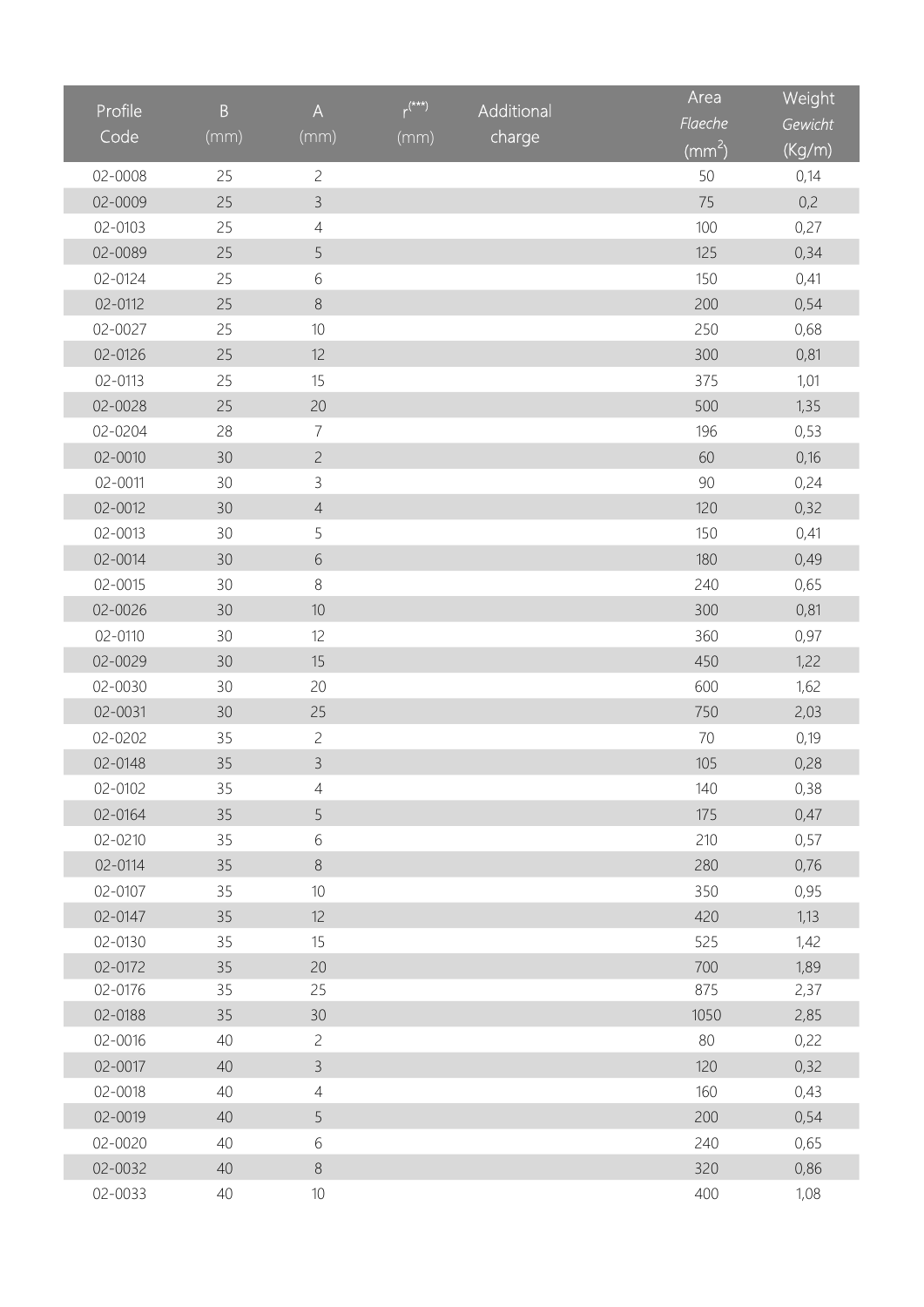| Profile     | $\overline{B}$  | $\boldsymbol{\mathsf{A}}$ | $r^{(**)}$ | Additional | Area                       | Weight  |
|-------------|-----------------|---------------------------|------------|------------|----------------------------|---------|
| Code        | (mm)            | (mm)                      |            | charge     | Flaeche                    | Gewicht |
|             |                 |                           | (mm)       |            | $\overline{(\text{mm}^2)}$ | (Kg/m)  |
| 02-0008     | 25              | $\overline{c}$            |            |            | 50                         | 0,14    |
| 02-0009     | 25              | $\mathcal{E}$             |            |            | 75                         | 0,2     |
| 02-0103     | 25              | $\overline{4}$            |            |            | 100                        | 0,27    |
| 02-0089     | 25              | 5                         |            |            | 125                        | 0,34    |
| 02-0124     | 25              | 6                         |            |            | 150                        | 0,41    |
| 02-0112     | 25              | $\,8\,$                   |            |            | 200                        | 0,54    |
| 02-0027     | 25              | $10$                      |            |            | 250                        | 0,68    |
| 02-0126     | 25              | 12                        |            |            | 300                        | 0,81    |
| 02-0113     | 25              | 15                        |            |            | 375                        | 1,01    |
| 02-0028     | 25              | 20                        |            |            | 500                        | 1,35    |
| 02-0204     | 28              | $\overline{7}$            |            |            | 196                        | 0,53    |
| $02 - 0010$ | 30              | $\overline{c}$            |            |            | 60                         | 0,16    |
| 02-0011     | 30              | $\mathsf{3}$              |            |            | 90                         | 0,24    |
| 02-0012     | 30              | $\sqrt{4}$                |            |            | 120                        | 0,32    |
| 02-0013     | 30              | 5                         |            |            | 150                        | 0,41    |
| 02-0014     | 30              | $\sqrt{6}$                |            |            | 180                        | 0,49    |
| 02-0015     | 30              | $\,8\,$                   |            |            | 240                        | 0,65    |
| 02-0026     | 30              | 10                        |            |            | 300                        | 0,81    |
| 02-0110     | 30              | 12                        |            |            | 360                        | 0,97    |
| 02-0029     | 30              | 15                        |            |            | 450                        | 1,22    |
| 02-0030     | 30 <sup>°</sup> | 20                        |            |            | 600                        | 1,62    |
| 02-0031     | 30              | 25                        |            |            | 750                        | 2,03    |
| 02-0202     | 35              | $\overline{c}$            |            |            | 70                         | 0,19    |
| 02-0148     | 35              | $\overline{3}$            |            |            | 105                        | 0,28    |
| 02-0102     | 35              | $\overline{4}$            |            |            | 140                        | 0,38    |
| 02-0164     | 35              | 5                         |            |            | 175                        | 0,47    |
| 02-0210     | 35              | 6                         |            |            | 210                        | 0,57    |
| 02-0114     | 35              | $\,8\,$                   |            |            | 280                        | 0,76    |
| 02-0107     | 35              | $10$                      |            |            | 350                        | 0,95    |
| 02-0147     | 35              | 12                        |            |            | 420                        | 1,13    |
| 02-0130     | 35              | 15                        |            |            | 525                        | 1,42    |
| 02-0172     | 35              | 20                        |            |            | 700                        | 1,89    |
| 02-0176     | 35              | 25                        |            |            | 875                        | 2,37    |
| 02-0188     | 35              | 30                        |            |            | 1050                       | 2,85    |
| 02-0016     | 40              | $\overline{c}$            |            |            | 80                         | 0,22    |
| 02-0017     | 40              | $\mathcal{E}$             |            |            | 120                        | 0,32    |
| 02-0018     | 40              | $\overline{4}$            |            |            | 160                        | 0,43    |
| 02-0019     | 40              | 5                         |            |            | 200                        | 0,54    |
| 02-0020     | 40              | $\,$ $\,$ $\,$            |            |            | 240                        | 0,65    |
| 02-0032     | 40              | $\,8\,$                   |            |            | 320                        | 0,86    |
| 02-0033     | 40              | $10$                      |            |            | 400                        | 1,08    |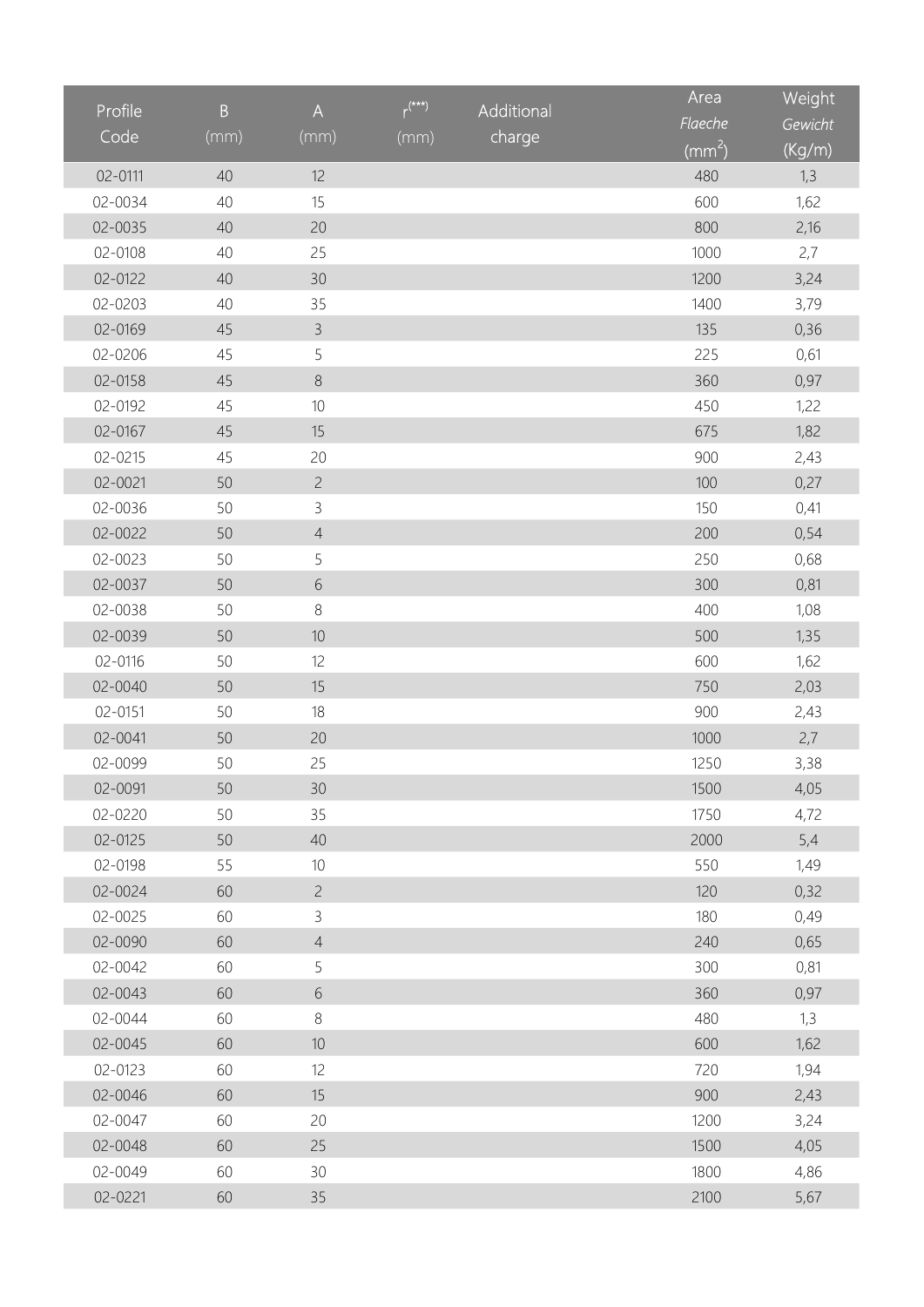| Profile           | $\overline{B}$ | $\boldsymbol{\mathsf{A}}$ | $r^{(**)}$ | Additional | Area                | Weight  |
|-------------------|----------------|---------------------------|------------|------------|---------------------|---------|
| $\overline{Code}$ | (mm)           | (mm)                      |            | charge     | Flaeche             | Gewicht |
|                   |                |                           | (mm)       |            | $\overline{(mm^2)}$ | (Kg/m)  |
| 02-0111           | 40             | 12                        |            |            | 480                 | 1,3     |
| 02-0034           | 40             | 15                        |            |            | 600                 | 1,62    |
| 02-0035           | 40             | 20                        |            |            | 800                 | 2,16    |
| 02-0108           | 40             | 25                        |            |            | 1000                | 2,7     |
| 02-0122           | 40             | 30                        |            |            | 1200                | 3,24    |
| 02-0203           | 40             | 35                        |            |            | 1400                | 3,79    |
| 02-0169           | 45             | $\mathcal{E}$             |            |            | 135                 | 0,36    |
| 02-0206           | 45             | 5                         |            |            | 225                 | 0,61    |
| 02-0158           | 45             | $\,8\,$                   |            |            | 360                 | 0,97    |
| 02-0192           | 45             | $10$                      |            |            | 450                 | 1,22    |
| 02-0167           | 45             | 15                        |            |            | 675                 | 1,82    |
| 02-0215           | 45             | 20                        |            |            | 900                 | 2,43    |
| 02-0021           | 50             | $\overline{c}$            |            |            | 100                 | 0,27    |
| 02-0036           | 50             | $\mathsf{3}$              |            |            | 150                 | 0,41    |
| 02-0022           | 50             | $\sqrt{4}$                |            |            | 200                 | 0,54    |
| 02-0023           | 50             | 5                         |            |            | 250                 | 0,68    |
| 02-0037           | 50             | $\sqrt{6}$                |            |            | 300                 | 0,81    |
| 02-0038           | 50             | $\,8\,$                   |            |            | 400                 | 1,08    |
| 02-0039           | 50             | 10                        |            |            | 500                 | 1,35    |
| 02-0116           | 50             | 12                        |            |            | 600                 | 1,62    |
| 02-0040           | 50             | 15                        |            |            | 750                 | 2,03    |
| 02-0151           | 50             | 18                        |            |            | 900                 | 2,43    |
| 02-0041           | 50             | 20                        |            |            | 1000                | 2,7     |
| 02-0099           | 50             | 25                        |            |            | 1250                | 3,38    |
| 02-0091           | 50             | 30                        |            |            | 1500                | 4,05    |
| 02-0220           | 50             | 35                        |            |            | 1750                | 4,72    |
| 02-0125           | 50             | 40                        |            |            | 2000                | 5,4     |
| 02-0198           | 55             | $10$                      |            |            | 550                 | 1,49    |
| 02-0024           | 60             | $\overline{c}$            |            |            | 120                 | 0,32    |
| 02-0025           | 60             | $\mathsf{3}$              |            |            | 180                 | 0,49    |
| 02-0090           | 60             | $\overline{4}$            |            |            | 240                 | 0,65    |
| 02-0042           | 60             | 5                         |            |            | 300                 | 0,81    |
| 02-0043           | 60             | 6                         |            |            | 360                 | 0,97    |
| 02-0044           | 60             | $8\,$                     |            |            | 480                 | 1,3     |
| 02-0045           | 60             | $10$                      |            |            | 600                 | 1,62    |
| 02-0123           | 60             | 12                        |            |            | 720                 | 1,94    |
| 02-0046           | 60             | 15                        |            |            | 900                 | 2,43    |
| 02-0047           | 60             | 20                        |            |            | 1200                | 3,24    |
| 02-0048           | 60             | 25                        |            |            | 1500                | 4,05    |
| 02-0049           | 60             | 30                        |            |            | 1800                | 4,86    |
| 02-0221           | 60             | 35                        |            |            | 2100                | 5,67    |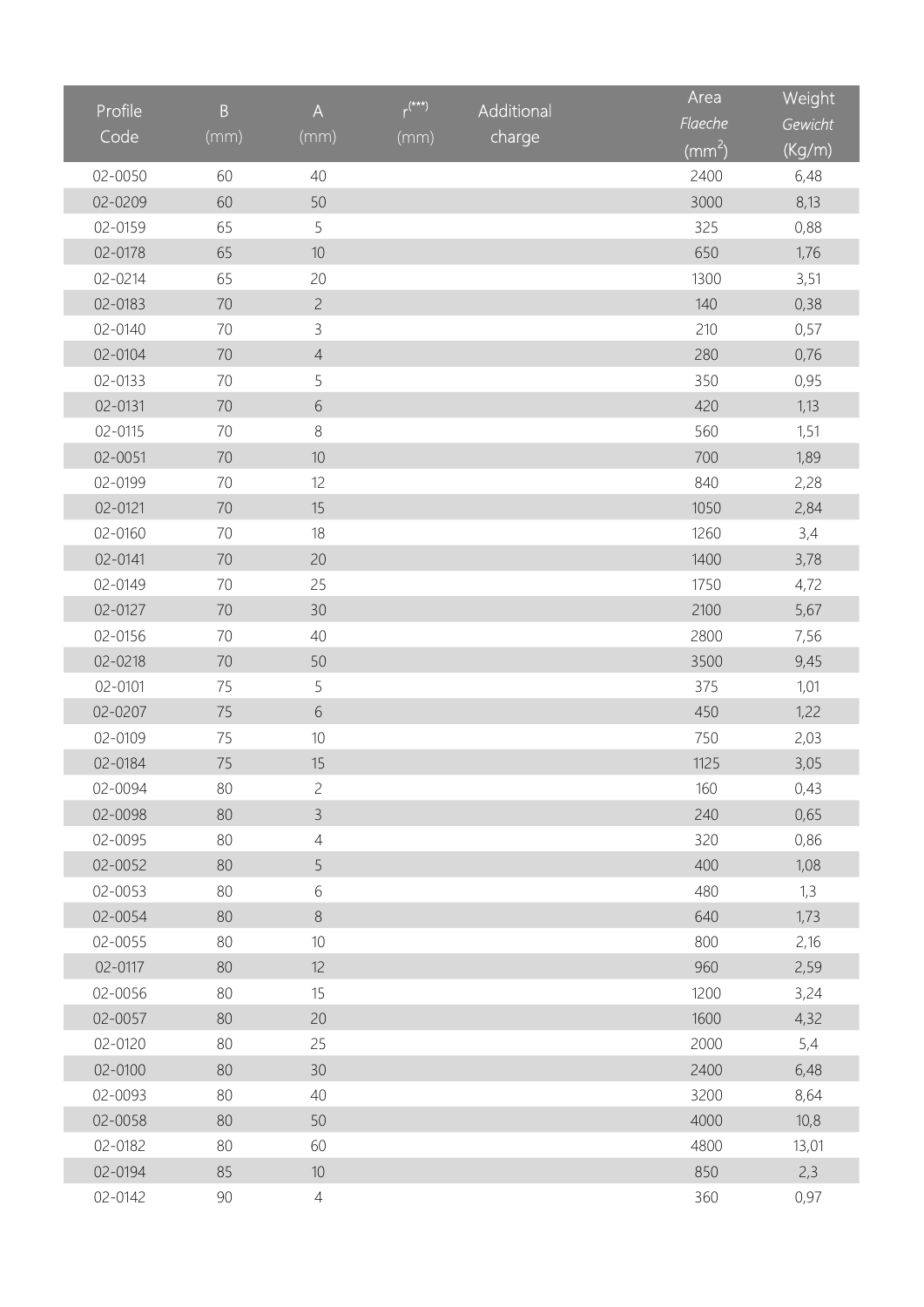| Profile | $\overline{B}$ | $\boldsymbol{\mathsf{A}}$ | $r^{(***)}$ | Additional | Area            | Weight  |
|---------|----------------|---------------------------|-------------|------------|-----------------|---------|
| Code    | (mm)           | (mm)                      |             | charge     | Flaeche         | Gewicht |
|         |                |                           | (mm)        |            | $\text{(mm}^2)$ | (Kg/m)  |
| 02-0050 | 60             | 40                        |             |            | 2400            | 6,48    |
| 02-0209 | 60             | 50                        |             |            | 3000            | 8,13    |
| 02-0159 | 65             | 5                         |             |            | 325             | 0,88    |
| 02-0178 | 65             | $10$                      |             |            | 650             | 1,76    |
| 02-0214 | 65             | 20                        |             |            | 1300            | 3,51    |
| 02-0183 | 70             | $\overline{c}$            |             |            | 140             | 0,38    |
| 02-0140 | 70             | 3                         |             |            | 210             | 0,57    |
| 02-0104 | 70             | $\sqrt{4}$                |             |            | 280             | 0,76    |
| 02-0133 | 70             | 5                         |             |            | 350             | 0,95    |
| 02-0131 | 70             | $\sqrt{6}$                |             |            | 420             | 1,13    |
| 02-0115 | 70             | $\,8\,$                   |             |            | 560             | 1,51    |
| 02-0051 | 70             | 10                        |             |            | 700             | 1,89    |
| 02-0199 | 70             | 12                        |             |            | 840             | 2,28    |
| 02-0121 | 70             | 15                        |             |            | 1050            | 2,84    |
| 02-0160 | 70             | 18                        |             |            | 1260            | 3,4     |
| 02-0141 | 70             | 20                        |             |            | 1400            | 3,78    |
| 02-0149 | 70             | 25                        |             |            | 1750            | 4,72    |
| 02-0127 | $70\,$         | 30                        |             |            | 2100            | 5,67    |
| 02-0156 | 70             | 40                        |             |            | 2800            | 7,56    |
| 02-0218 | 70             | 50                        |             |            | 3500            | 9,45    |
| 02-0101 | 75             | 5                         |             |            | 375             | 1,01    |
| 02-0207 | 75             | $\sqrt{6}$                |             |            | 450             | 1,22    |
| 02-0109 | 75             | 10                        |             |            | 750             | 2,03    |
| 02-0184 | 75             | 15                        |             |            | 1125            | 3,05    |
| 02-0094 | 80             | $\overline{c}$            |             |            | 160             | 0,43    |
| 02-0098 | 80             | $\mathsf{3}$              |             |            | 240             | 0,65    |
| 02-0095 | 80             | $\overline{4}$            |             |            | 320             | 0,86    |
| 02-0052 | 80             | 5                         |             |            | 400             | 1,08    |
| 02-0053 | 80             | 6                         |             |            | 480             | 1,3     |
| 02-0054 | 80             | $\,8\,$                   |             |            | 640             | 1,73    |
| 02-0055 | 80             | $10$                      |             |            | 800             | 2,16    |
| 02-0117 | 80             | 12                        |             |            | 960             | 2,59    |
| 02-0056 | 80             | 15                        |             |            | 1200            | 3,24    |
| 02-0057 | 80             | 20                        |             |            | 1600            | 4,32    |
| 02-0120 | 80             | 25                        |             |            | 2000            | 5,4     |
| 02-0100 | 80             | 30                        |             |            | 2400            | 6,48    |
| 02-0093 | 80             | 40                        |             |            | 3200            | 8,64    |
| 02-0058 | 80             | 50                        |             |            | 4000            | 10,8    |
| 02-0182 | 80             | 60                        |             |            | 4800            | 13,01   |
| 02-0194 | 85             | $10$                      |             |            | 850             | 2,3     |
| 02-0142 | $90\,$         | $\overline{4}$            |             |            | 360             | 0,97    |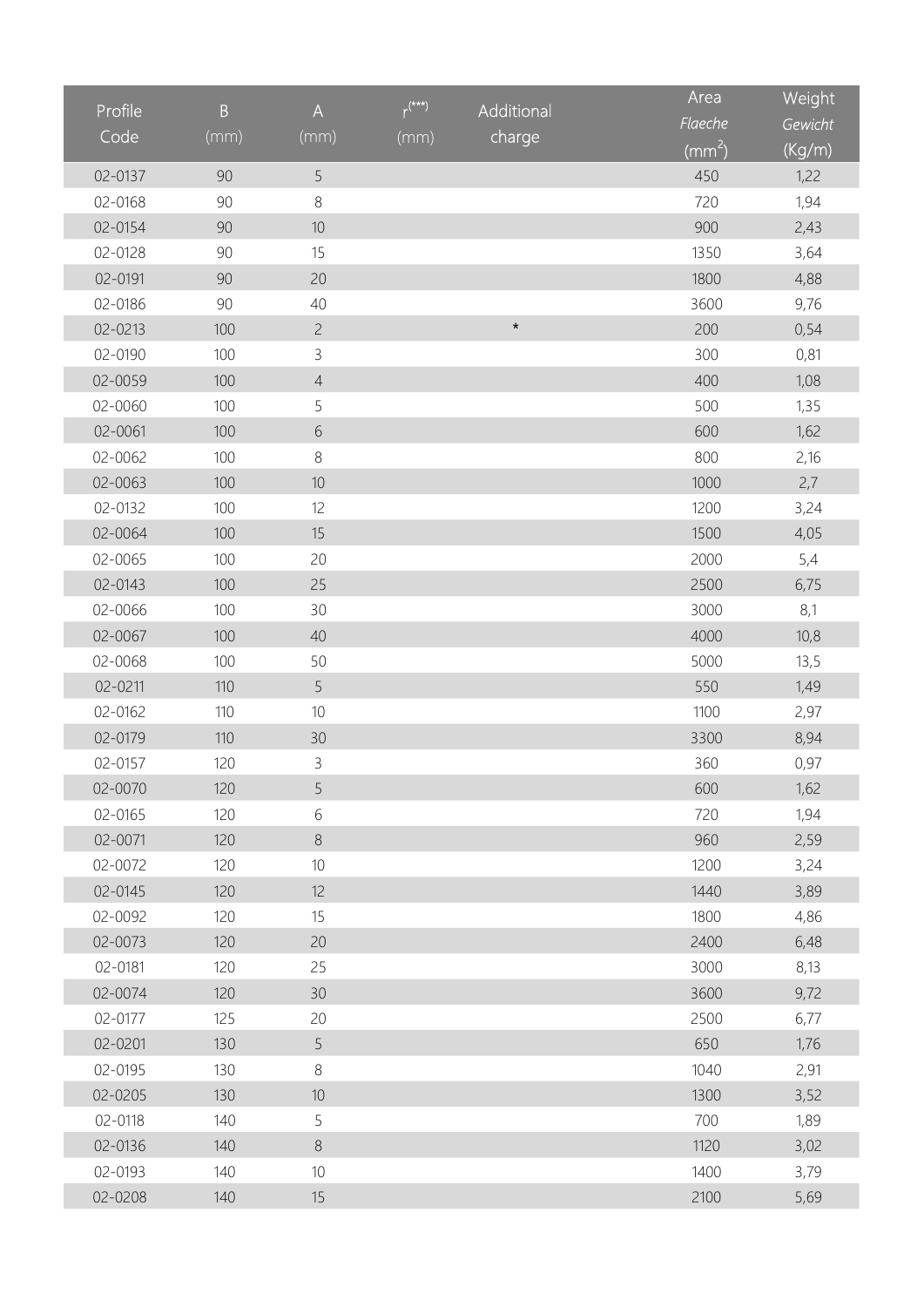| Profile | $\overline{B}$ | $\boldsymbol{\mathsf{A}}$ | $r^{(**)}$ | Additional | Area                | Weight  |
|---------|----------------|---------------------------|------------|------------|---------------------|---------|
| Code    |                |                           |            |            | Flaeche             | Gewicht |
|         | (mm)           | (mm)                      | (mm)       | charge     | $\overline{(mm^2)}$ | (Kg/m)  |
| 02-0137 | 90             | 5                         |            |            | 450                 | 1,22    |
| 02-0168 | 90             | $\,8\,$                   |            |            | 720                 | 1,94    |
| 02-0154 | 90             | $10$                      |            |            | 900                 | 2,43    |
| 02-0128 | 90             | 15                        |            |            | 1350                | 3,64    |
| 02-0191 | 90             | 20                        |            |            | 1800                | 4,88    |
| 02-0186 | 90             | 40                        |            |            | 3600                | 9,76    |
| 02-0213 | 100            | $\overline{c}$            |            | $\star$    | 200                 | 0,54    |
| 02-0190 | 100            | 3                         |            |            | 300                 | 0,81    |
| 02-0059 | 100            | $\sqrt{4}$                |            |            | 400                 | 1,08    |
| 02-0060 | 100            | 5                         |            |            | 500                 | 1,35    |
| 02-0061 | 100            | $\sqrt{6}$                |            |            | 600                 | 1,62    |
| 02-0062 | 100            | $\,8\,$                   |            |            | 800                 | 2,16    |
| 02-0063 | 100            | $10$                      |            |            | 1000                | 2,7     |
| 02-0132 | 100            | 12                        |            |            | 1200                | 3,24    |
| 02-0064 | 100            | 15                        |            |            | 1500                | 4,05    |
| 02-0065 | 100            | 20                        |            |            | 2000                | 5,4     |
| 02-0143 | 100            | 25                        |            |            | 2500                | 6,75    |
| 02-0066 | 100            | 30                        |            |            | 3000                | 8,1     |
| 02-0067 | 100            | 40                        |            |            | 4000                | 10,8    |
| 02-0068 | 100            | 50                        |            |            | 5000                | 13,5    |
| 02-0211 | 110            | 5                         |            |            | 550                 | 1,49    |
| 02-0162 | 110            | $10$                      |            |            | 1100                | 2,97    |
| 02-0179 | 110            | 30                        |            |            | 3300                | 8,94    |
| 02-0157 | 120            | 3                         |            |            | 360                 | 0,97    |
| 02-0070 | 120            | 5                         |            |            | 600                 | 1,62    |
| 02-0165 | 120            | 6                         |            |            | 720                 | 1,94    |
| 02-0071 | 120            | $\,8\,$                   |            |            | 960                 | 2,59    |
| 02-0072 | 120            | $10$                      |            |            | 1200                | 3,24    |
| 02-0145 | 120            | 12                        |            |            | 1440                | 3,89    |
| 02-0092 | 120            | 15                        |            |            | 1800                | 4,86    |
| 02-0073 | 120            | 20                        |            |            | 2400                | 6,48    |
| 02-0181 | 120            | 25                        |            |            | 3000                | 8,13    |
| 02-0074 | 120            | 30                        |            |            | 3600                | 9,72    |
| 02-0177 | 125            | 20                        |            |            | 2500                | 6,77    |
| 02-0201 | 130            | 5                         |            |            | 650                 | 1,76    |
| 02-0195 | 130            | $\,8\,$                   |            |            | 1040                | 2,91    |
| 02-0205 | 130            | $10$                      |            |            | 1300                | 3,52    |
| 02-0118 | 140            | 5                         |            |            | 700                 | 1,89    |
| 02-0136 | 140            | $\, 8$                    |            |            | 1120                | 3,02    |
| 02-0193 | 140            | $10$                      |            |            | 1400                | 3,79    |
| 02-0208 | 140            | 15                        |            |            | 2100                | 5,69    |